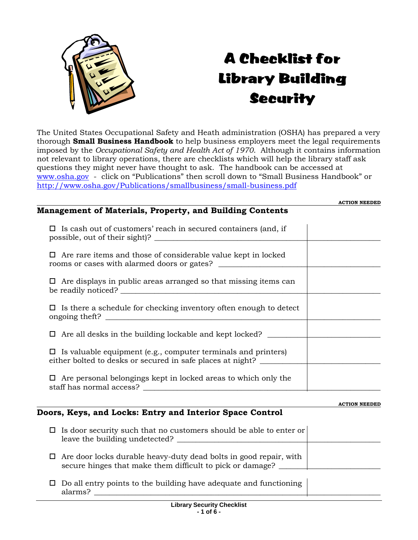

# A Checklist for Library Building **Security**

 **ACTION NEEDED**

The United States Occupational Safety and Heath administration (OSHA) has prepared a very thorough **Small Business Handbook** to help business employers meet the legal requirements imposed by the *Occupational Safety and Health Act of 1970*. Although it contains information not relevant to library operations, there are checklists which will help the library staff ask questions they might never have thought to ask. The handbook can be accessed at [www.osha.gov](http://www.osha.gov/) - click on "Publications" then scroll down to "Small Business Handbook" or <http://www.osha.gov/Publications/smallbusiness/small-business.pdf>

|                                                                                                                                    | <b>ACTION NEEDED</b> |  |
|------------------------------------------------------------------------------------------------------------------------------------|----------------------|--|
| <b>Management of Materials, Property, and Building Contents</b>                                                                    |                      |  |
| $\Box$ Is cash out of customers' reach in secured containers (and, if<br>possible, out of their sight)?                            |                      |  |
| $\Box$ Are rare items and those of considerable value kept in locked<br>rooms or cases with alarmed doors or gates?                |                      |  |
| $\Box$ Are displays in public areas arranged so that missing items can                                                             |                      |  |
| $\Box$ Is there a schedule for checking inventory often enough to detect<br>ongoing theft?                                         |                      |  |
| $\Box$ Are all desks in the building lockable and kept locked?                                                                     |                      |  |
| $\Box$ Is valuable equipment (e.g., computer terminals and printers)<br>either bolted to desks or secured in safe places at night? |                      |  |
| $\Box$ Are personal belongings kept in locked areas to which only the                                                              |                      |  |
|                                                                                                                                    |                      |  |

# **Doors, Keys, and Locks: Entry and Interior Space Control**

| $\Box$ Is door security such that no customers should be able to enter or<br>leave the building undetected?                           |  |
|---------------------------------------------------------------------------------------------------------------------------------------|--|
| $\Box$ Are door locks durable heavy-duty dead bolts in good repair, with<br>secure hinges that make them difficult to pick or damage? |  |
| $\Box$ Do all entry points to the building have adequate and functioning                                                              |  |

alarms? \_\_\_\_\_\_\_\_\_\_\_\_\_\_\_\_\_\_\_\_\_\_\_\_\_\_\_\_\_\_\_\_\_\_\_\_\_\_\_\_\_\_\_\_\_\_\_\_\_\_\_\_\_\_\_\_\_\_\_\_\_\_\_\_\_\_\_\_\_\_\_\_\_\_\_\_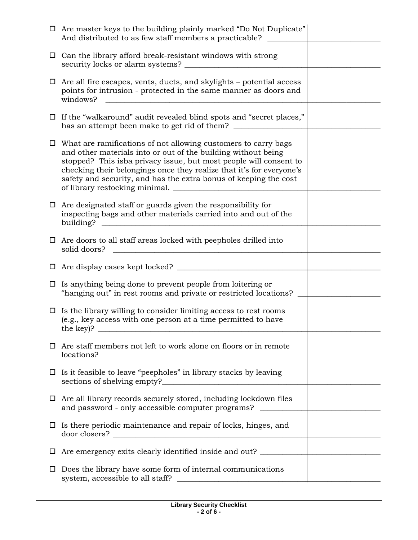| $\Box$ Are master keys to the building plainly marked "Do Not Duplicate"<br>And distributed to as few staff members a practicable?                                                                                                                                                                                                                      |
|---------------------------------------------------------------------------------------------------------------------------------------------------------------------------------------------------------------------------------------------------------------------------------------------------------------------------------------------------------|
| $\Box$ Can the library afford break-resistant windows with strong                                                                                                                                                                                                                                                                                       |
| $\Box$ Are all fire escapes, vents, ducts, and skylights – potential access<br>points for intrusion - protected in the same manner as doors and<br>windows?                                                                                                                                                                                             |
| $\square$ If the "walkaround" audit revealed blind spots and "secret places,"<br>has an attempt been make to get rid of them?                                                                                                                                                                                                                           |
| $\Box$ What are ramifications of not allowing customers to carry bags<br>and other materials into or out of the building without being<br>stopped? This isba privacy issue, but most people will consent to<br>checking their belongings once they realize that it's for everyone's<br>safety and security, and has the extra bonus of keeping the cost |
| $\Box$ Are designated staff or guards given the responsibility for<br>inspecting bags and other materials carried into and out of the<br>building?<br><u> 1980 - Jan Barbara, manazarta bashkar a shekara t</u>                                                                                                                                         |
| $\Box$ Are doors to all staff areas locked with peepholes drilled into<br>solid doors?<br><u> 1980 - Jan Stein Stein Stein Stein Stein Stein Stein Stein Stein Stein Stein Stein Stein Stein Stein Stein S</u>                                                                                                                                          |
|                                                                                                                                                                                                                                                                                                                                                         |
| $\square$ Is anything being done to prevent people from loitering or<br>"hanging out" in rest rooms and private or restricted locations?                                                                                                                                                                                                                |
| $\Box$ Is the library willing to consider limiting access to rest rooms<br>(e.g., key access with one person at a time permitted to have                                                                                                                                                                                                                |
| the key)?                                                                                                                                                                                                                                                                                                                                               |
| $\Box$ Are staff members not left to work alone on floors or in remote<br>locations?                                                                                                                                                                                                                                                                    |
| $\Box$ Is it feasible to leave "peepholes" in library stacks by leaving                                                                                                                                                                                                                                                                                 |
| $\Box$ Are all library records securely stored, including lockdown files<br>and password - only accessible computer programs?                                                                                                                                                                                                                           |
| $\square$ Is there periodic maintenance and repair of locks, hinges, and                                                                                                                                                                                                                                                                                |
|                                                                                                                                                                                                                                                                                                                                                         |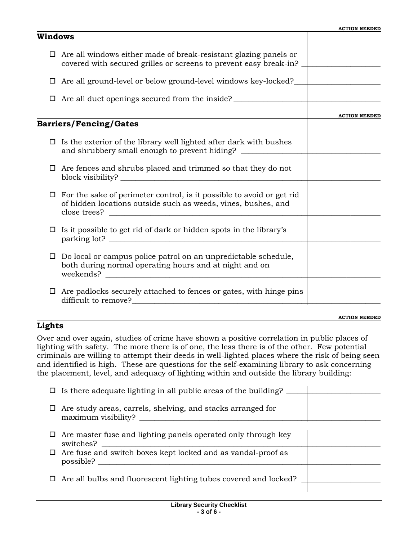**ACTION NEEDED**

| Windows |                                                                                                                                                         |                      |
|---------|---------------------------------------------------------------------------------------------------------------------------------------------------------|----------------------|
|         | Are all windows either made of break-resistant glazing panels or<br>covered with secured grilles or screens to prevent easy break-in?                   |                      |
| ப       | Are all ground-level or below ground-level windows key-locked?                                                                                          |                      |
| ப       | Are all duct openings secured from the inside?                                                                                                          |                      |
|         |                                                                                                                                                         | <b>ACTION NEEDED</b> |
|         | <b>Barriers/Fencing/Gates</b>                                                                                                                           |                      |
| $\Box$  | Is the exterior of the library well lighted after dark with bushes<br>and shrubbery small enough to prevent hiding? ___________________________________ |                      |
|         | Are fences and shrubs placed and trimmed so that they do not<br>block visibility?                                                                       |                      |
| □       | For the sake of perimeter control, is it possible to avoid or get rid<br>of hidden locations outside such as weeds, vines, bushes, and                  |                      |
| ш       | Is it possible to get rid of dark or hidden spots in the library's                                                                                      |                      |
| $\Box$  | Do local or campus police patrol on an unpredictable schedule,<br>both during normal operating hours and at night and on                                |                      |
| $\Box$  | Are padlocks securely attached to fences or gates, with hinge pins                                                                                      |                      |
|         |                                                                                                                                                         |                      |

## **Lights**

Over and over again, studies of crime have shown a positive correlation in public places of lighting with safety. The more there is of one, the less there is of the other. Few potential criminals are willing to attempt their deeds in well-lighted places where the risk of being seen and identified is high. These are questions for the self-examining library to ask concerning the placement, level, and adequacy of lighting within and outside the library building:

| $\Box$ Is there adequate lighting in all public areas of the building?                  |
|-----------------------------------------------------------------------------------------|
| Are study areas, carrels, shelving, and stacks arranged for<br>ப<br>maximum visibility? |
| $\Box$ Are master fuse and lighting panels operated only through key<br>switches?       |
| $\Box$ Are fuse and switch boxes kept locked and as vandal-proof as<br>possible?        |
| $\Box$ Are all bulbs and fluorescent lighting tubes covered and locked?                 |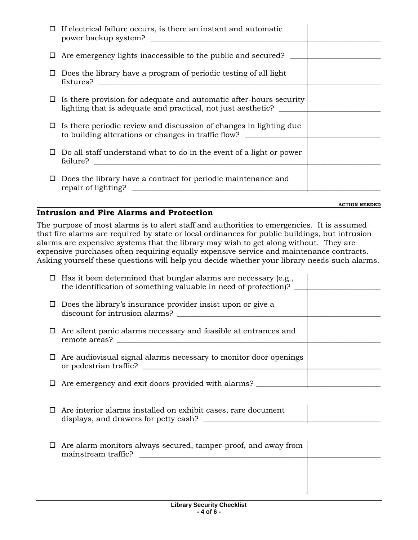| If electrical failure occurs, is there an instant and automatic<br>power backup system?                                                      |  |
|----------------------------------------------------------------------------------------------------------------------------------------------|--|
| Are emergency lights inaccessible to the public and secured?<br>ப                                                                            |  |
| Does the library have a program of periodic testing of all light<br>ப                                                                        |  |
| Is there provision for adequate and automatic after-hours security<br>ப<br>lighting that is adequate and practical, not just aesthetic? ____ |  |
| Is there periodic review and discussion of changes in lighting due<br>ப<br>to building alterations or changes in traffic flow?               |  |
| Do all staff understand what to do in the event of a light or power<br>failure?<br><u> 1986 - John Stein, Amerikaansk politiker (</u>        |  |
| Does the library have a contract for periodic maintenance and<br>ш<br>repair of lighting?                                                    |  |

#### **ACTION NEEDED**

### **Intrusion and Fire Alarms and Protection**

The purpose of most alarms is to alert staff and authorities to emergencies. It is assumed that fire alarms are required by state or local ordinances for public buildings, but intrusion alarms are expensive systems that the library may wish to get along without. They are expensive purchases often requiring equally expensive service and maintenance contracts. Asking yourself these questions will help you decide whether your library needs such alarms.

| $\Box$ Has it been determined that burglar alarms are necessary (e.g.,<br>the identification of something valuable in need of protection)? |  |
|--------------------------------------------------------------------------------------------------------------------------------------------|--|
| $\square$ Does the library's insurance provider insist upon or give a<br>discount for intrusion alarms?                                    |  |
| $\Box$ Are silent panic alarms necessary and feasible at entrances and<br>remote areas?                                                    |  |
| $\Box$ Are audiovisual signal alarms necessary to monitor door openings<br>or pedestrian traffic?                                          |  |
| $\Box$ Are emergency and exit doors provided with alarms?                                                                                  |  |
|                                                                                                                                            |  |

- $\Box$  Are interior alarms installed on exhibit cases, rare document displays, and drawers for petty cash? \_\_\_\_\_\_\_\_\_\_\_\_\_\_\_\_\_\_\_\_\_\_\_\_\_\_\_\_\_\_\_\_\_\_\_\_\_\_\_\_\_\_\_\_\_\_\_
- $\Box$  Are alarm monitors always secured, tamper-proof, and away from mainstream traffic?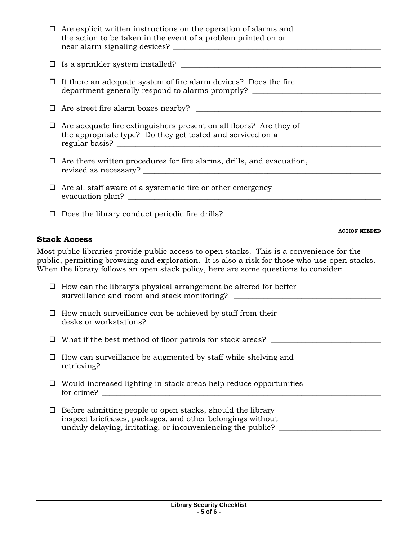| $\Box$ Are explicit written instructions on the operation of alarms and<br>the action to be taken in the event of a problem printed on or |  |
|-------------------------------------------------------------------------------------------------------------------------------------------|--|
|                                                                                                                                           |  |
| $\Box$ It there an adequate system of fire alarm devices? Does the fire<br>department generally respond to alarms promptly?               |  |
|                                                                                                                                           |  |
| $\Box$ Are adequate fire extinguishers present on all floors? Are they of<br>the appropriate type? Do they get tested and serviced on a   |  |
| $\Box$ Are there written procedures for fire alarms, drills, and evacuation,                                                              |  |
| $\Box$ Are all staff aware of a systematic fire or other emergency                                                                        |  |
| Does the library conduct periodic fire drills?                                                                                            |  |

## **Stack Access**

Most public libraries provide public access to open stacks. This is a convenience for the public, permitting browsing and exploration. It is also a risk for those who use open stacks. When the library follows an open stack policy, here are some questions to consider:

 **ACTION NEEDED**

| $\Box$ How can the library's physical arrangement be altered for better<br>surveillance and room and stack monitoring?                                                                                         |
|----------------------------------------------------------------------------------------------------------------------------------------------------------------------------------------------------------------|
| $\Box$ How much surveillance can be achieved by staff from their<br>desks or workstations?                                                                                                                     |
| $\Box$ What if the best method of floor patrols for stack areas? $\Box$                                                                                                                                        |
| $\Box$ How can surveillance be augmented by staff while shelving and<br>retrieving?                                                                                                                            |
| $\Box$ Would increased lighting in stack areas help reduce opportunities<br>for crime?<br><u> 1980 - Jan Barbara Barbara, manazarta da kasas da kasas da kasas da kasas da kasas da kasas da kasas da kasa</u> |
| $\Box$ Before admitting people to open stacks, should the library<br>inspect briefcases, packages, and other belongings without<br>unduly delaying, irritating, or inconveniencing the public?                 |